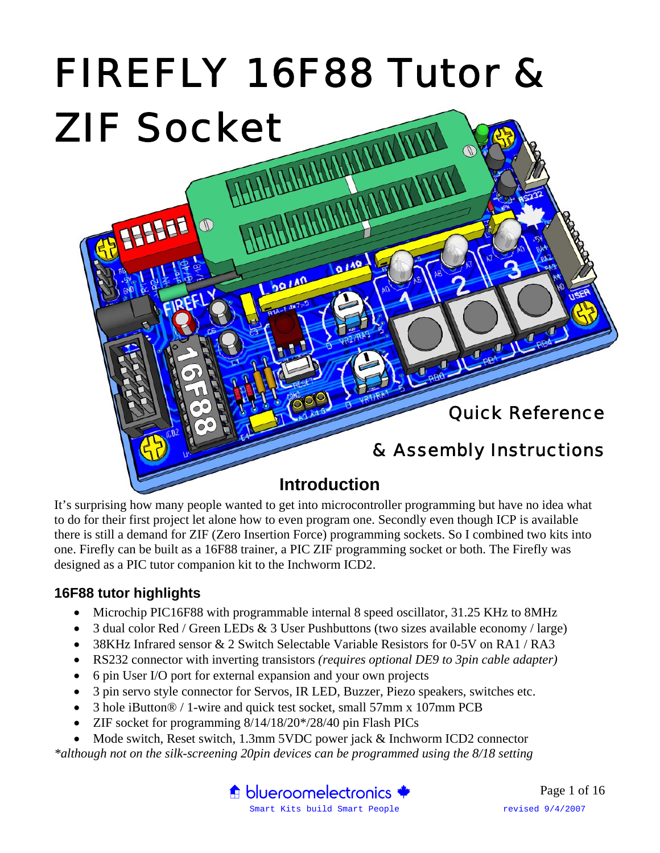

It's surprising how many people wanted to get into microcontroller programming but have no idea what to do for their first project let alone how to even program one. Secondly even though ICP is available there is still a demand for ZIF (Zero Insertion Force) programming sockets. So I combined two kits into one. Firefly can be built as a 16F88 trainer, a PIC ZIF programming socket or both. The Firefly was designed as a PIC tutor companion kit to the Inchworm ICD2.

#### **16F88 tutor highlights**

- Microchip PIC16F88 with programmable internal 8 speed oscillator, 31.25 KHz to 8MHz
- 3 dual color Red / Green LEDs & 3 User Pushbuttons (two sizes available economy / large)
- 38KHz Infrared sensor & 2 Switch Selectable Variable Resistors for 0-5V on RA1 / RA3
- RS232 connector with inverting transistors *(requires optional DE9 to 3pin cable adapter)*
- 6 pin User I/O port for external expansion and your own projects
- 3 pin servo style connector for Servos, IR LED, Buzzer, Piezo speakers, switches etc.
- 3 hole iButton® / 1-wire and quick test socket, small 57mm x 107mm PCB
- ZIF socket for programming  $8/14/18/20*/28/40$  pin Flash PICs
- Mode switch, Reset switch, 1.3mm 5VDC power jack & Inchworm ICD2 connector

*\*although not on the silk-screening 20pin devices can be programmed using the 8/18 setting* 

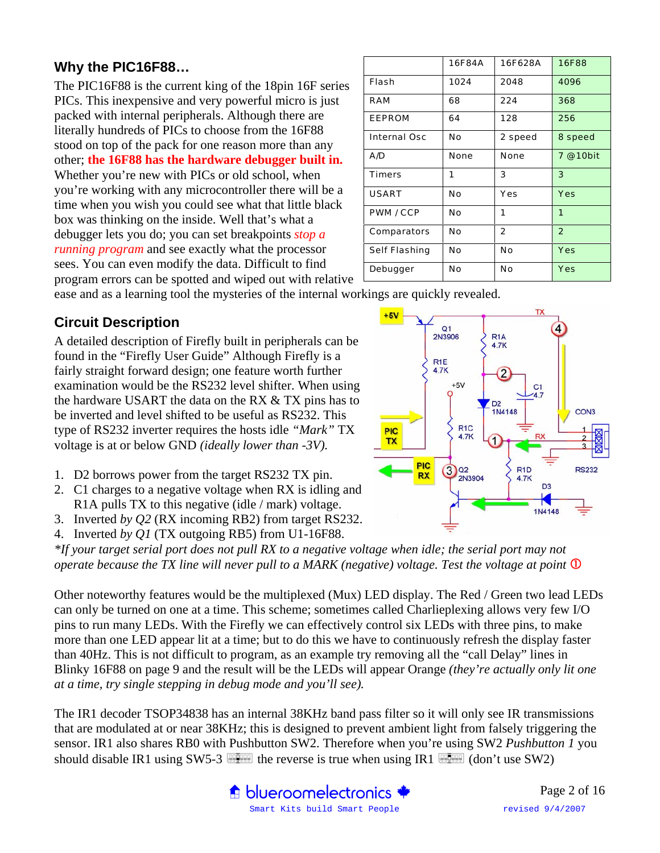#### **Why the PIC16F88…**

The PIC16F88 is the current king of the 18pin 16F series PICs. This inexpensive and very powerful micro is just packed with internal peripherals. Although there are literally hundreds of PICs to choose from the 16F88 stood on top of the pack for one reason more than any other; **the 16F88 has the hardware debugger built in.**  Whether you're new with PICs or old school, when you're working with any microcontroller there will be a time when you wish you could see what that little black box was thinking on the inside. Well that's what a debugger lets you do; you can set breakpoints *stop a running program* and see exactly what the processor sees. You can even modify the data. Difficult to find program errors can be spotted and wiped out with relative

|                      | 16F84A | 16F628A        | <b>16F88</b>   |  |
|----------------------|--------|----------------|----------------|--|
| Flash                | 1024   | 2048           | 4096           |  |
| RAM                  | 68     | 224            | 368            |  |
| <b>EEPROM</b>        | 64     | 128            | 256            |  |
| <b>Internal Osc</b>  | No     | 2 speed        | 8 speed        |  |
| A/D                  | None   | <b>None</b>    | 7 @ 10bit      |  |
| <b>Timers</b>        | 1      | 3              | 3              |  |
| <b>USART</b>         | No     | Yes            | Yes            |  |
| <b>PWM / CCP</b>     | No     | 1              | 1              |  |
| Comparators          | No     | $\overline{2}$ | $\overline{2}$ |  |
| <b>Self Flashing</b> | Νo     | No             | Yes            |  |
| Debugger             | No     | No             | Yes            |  |

ease and as a learning tool the mysteries of the internal workings are quickly revealed.

#### **Circuit Description**

A detailed description of Firefly built in peripherals can be found in the "Firefly User Guide" Although Firefly is a fairly straight forward design; one feature worth further examination would be the RS232 level shifter. When using the hardware USART the data on the RX & TX pins has to be inverted and level shifted to be useful as RS232. This type of RS232 inverter requires the hosts idle *"Mark"* TX voltage is at or below GND *(ideally lower than -3V).*

- 1. D2 borrows power from the target RS232 TX pin.
- 2. C1 charges to a negative voltage when RX is idling and R1A pulls TX to this negative (idle / mark) voltage.
- 3. Inverted *by Q2* (RX incoming RB2) from target RS232.
- 4. Inverted *by Q1* (TX outgoing RB5) from U1-16F88.

*\*If your target serial port does not pull RX to a negative voltage when idle; the serial port may not operate because the TX line will never pull to a MARK (negative) voltage. Test the voltage at point*  $\Phi$ 

Other noteworthy features would be the multiplexed (Mux) LED display. The Red / Green two lead LEDs can only be turned on one at a time. This scheme; sometimes called Charlieplexing allows very few I/O pins to run many LEDs. With the Firefly we can effectively control six LEDs with three pins, to make more than one LED appear lit at a time; but to do this we have to continuously refresh the display faster than 40Hz. This is not difficult to program, as an example try removing all the "call Delay" lines in Blinky 16F88 on page 9 and the result will be the LEDs will appear Orange *(they're actually only lit one at a time, try single stepping in debug mode and you'll see).*

The IR1 decoder TSOP34838 has an internal 38KHz band pass filter so it will only see IR transmissions that are modulated at or near 38KHz; this is designed to prevent ambient light from falsely triggering the sensor. IR1 also shares RB0 with Pushbutton SW2. Therefore when you're using SW2 *Pushbutton 1* you should disable IR1 using SW5-3  $\Box$  the reverse is true when using IR1  $\Box$  (don't use SW2)

**A** blueroomelectronics



Smart Kits build Smart People revised 9/4/2007 Page 2 of 16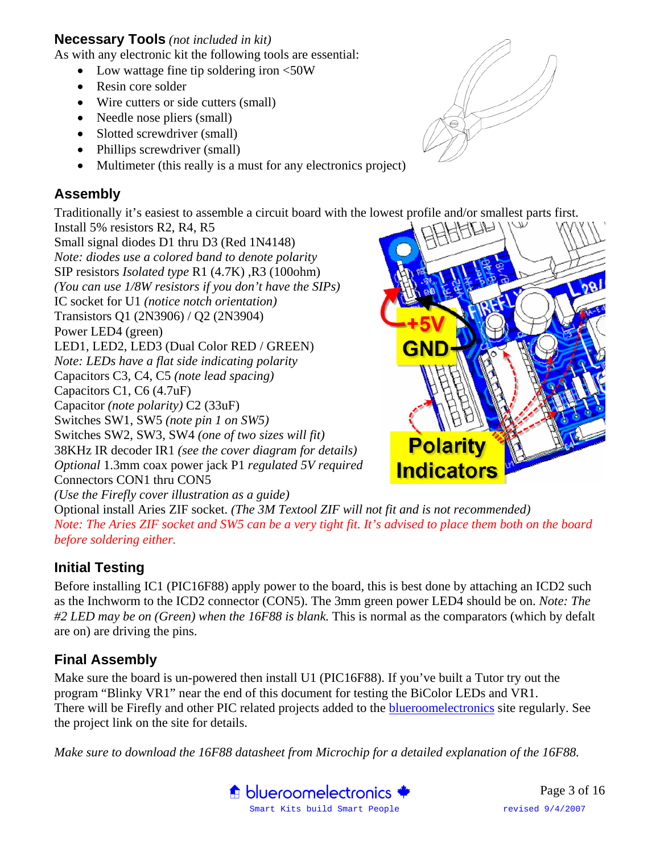#### **Necessary Tools** *(not included in kit)*

As with any electronic kit the following tools are essential:

- Low wattage fine tip soldering iron <50W
- Resin core solder
- Wire cutters or side cutters (small)
- Needle nose pliers (small)
- Slotted screwdriver (small)
- Phillips screwdriver (small)
- Multimeter (this really is a must for any electronics project)

#### **Assembly**

Traditionally it's easiest to assemble a circuit board with the lowest profile and/or smallest parts first.

Install 5% resistors R2, R4, R5 Small signal diodes D1 thru D3 (Red 1N4148) *Note: diodes use a colored band to denote polarity*  SIP resistors *Isolated type* R1 (4.7K) ,R3 (100ohm) *(You can use 1/8W resistors if you don't have the SIPs)*  IC socket for U1 *(notice notch orientation)* Transistors Q1 (2N3906) / Q2 (2N3904) Power LED4 (green) LED1, LED2, LED3 (Dual Color RED / GREEN) *Note: LEDs have a flat side indicating polarity*  Capacitors C3, C4, C5 *(note lead spacing)* Capacitors C1, C6 (4.7uF) Capacitor *(note polarity)* C2 (33uF) Switches SW1, SW5 *(note pin 1 on SW5)*  Switches SW2, SW3, SW4 *(one of two sizes will fit)*  38KHz IR decoder IR1 *(see the cover diagram for details) Optional* 1.3mm coax power jack P1 *regulated 5V required* Connectors CON1 thru CON5 *(Use the Firefly cover illustration as a guide)*



Optional install Aries ZIF socket. *(The 3M Textool ZIF will not fit and is not recommended) Note: The Aries ZIF socket and SW5 can be a very tight fit. It's advised to place them both on the board before soldering either.* 

#### **Initial Testing**

Before installing IC1 (PIC16F88) apply power to the board, this is best done by attaching an ICD2 such as the Inchworm to the ICD2 connector (CON5). The 3mm green power LED4 should be on. *Note: The #2 LED may be on (Green) when the 16F88 is blank.* This is normal as the comparators (which by defalt are on) are driving the pins.

#### **Final Assembly**

Make sure the board is un-powered then install U1 (PIC16F88). If you've built a Tutor try out the program "Blinky VR1" near the end of this document for testing the BiColor LEDs and VR1. There will be Firefly and other PIC related projects added to the blueroomelectronics site regularly. See the project link on the site for details.

*Make sure to download the 16F88 datasheet from Microchip for a detailed explanation of the 16F88.* 



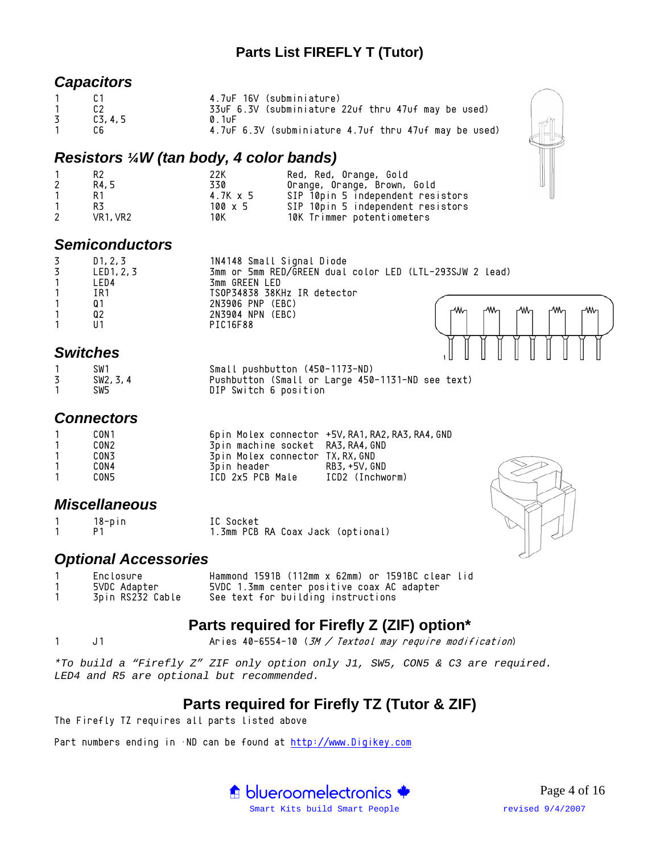#### **Parts List FIREFLY T (Tutor)**

#### *Capacitors*

| $\mathbf{1}$ |        | 4.7uF 16V (subminiature)                              |
|--------------|--------|-------------------------------------------------------|
| $\mathbf{1}$ |        | 33uF 6.3V (subminiature 22uf thru 47uf may be used)   |
| 3            | C3.4.5 | 0 1uF                                                 |
|              | C.6    | 4.70F 6.3V (subminiature 4.70f thru 470f may be used) |

#### *Resistors ¼W (tan body, 4 color bands)*

|   | R2                                | 22K      | Red, Red, Orange, Gold            |
|---|-----------------------------------|----------|-----------------------------------|
| 2 | R4.5                              | 330      | Orange, Orange, Brown, Gold       |
|   | R 1                               | 4.7K x 5 | SIP 10pin 5 independent resistors |
|   | R3                                | 100 x 5  | SIP 10pin 5 independent resistors |
| 2 | VR <sub>1</sub> , VR <sub>2</sub> | 10K      | 10K Trimmer potentiometers        |

#### *Semiconductors*

| D1, 2, 3       | 1N4148 Small Signal Diode                               |
|----------------|---------------------------------------------------------|
| LED1, 2, 3     | 3mm or 5mm RED/GREEN dual color LED (LTL-293SJW 2 lead) |
| LED4           | 3mm GREEN LED                                           |
| IR1            | TSOP34838 38KHz IR detector                             |
| 0 <sub>1</sub> | 2N3906 PNP (EBC)                                        |
| Q2             | -www<br>₩<br>-⁄Wn<br>2N3904 NPN (EBC)                   |
|                | PIC16F88                                                |
|                |                                                         |

#### *Switches*

| SW1       | Small pushbutton (450-1173-ND)                   |
|-----------|--------------------------------------------------|
| SW2, 3, 4 | Pushbutton (Small or Large 450-1131-ND see text) |
| SW5       | DIP Switch 6 position                            |

#### *Connectors*

| -1 | CON 1 |                                   | 6pin Molex connector +5V, RA1, RA2, RA3, RA4, GND |
|----|-------|-----------------------------------|---------------------------------------------------|
|    | CON2  | 3pin machine socket RA3, RA4, GND |                                                   |
|    | CON3  | 3pin Molex connector TX, RX, GND  |                                                   |
|    | CON4  | 3pin header                       | RB3. +5V. GND                                     |
|    | CON5  | ICD 2x5 PCB Male                  | ICD2 (Inchworm)                                   |

#### *Miscellaneous*

| 18-pin | IC Socket                         |
|--------|-----------------------------------|
|        | 1.3mm PCB RA Coax Jack (optional) |

#### *Optional Accessories*

| Enclosure        | Hammond 1591B (112mm x 62mm) or 1591BC clear lid |
|------------------|--------------------------------------------------|
| 5VDC Adapter     | 5VDC 1.3mm center positive coax AC adapter       |
| 3pin RS232 Cable | See text for building instructions               |

## **Parts required for Firefly Z (ZIF) option\***

1 J1 Aries 40-6554-10 (3M / Textool may require modification)

*\*To build a "Firefly Z" ZIF only option only J1, SW5, CON5 & C3 are required. LED4 and R5 are optional but recommended.* 

## **Parts required for Firefly TZ (Tutor & ZIF)**

The Firefly TZ requires all parts listed above

Part numbers ending in  $\cdot$ ND can be found at http://www.Digikey.com



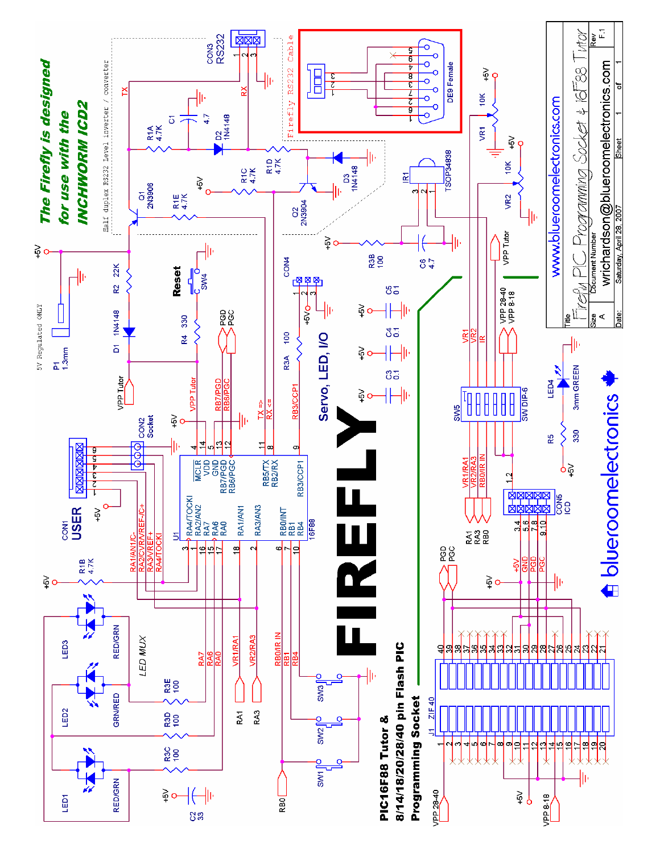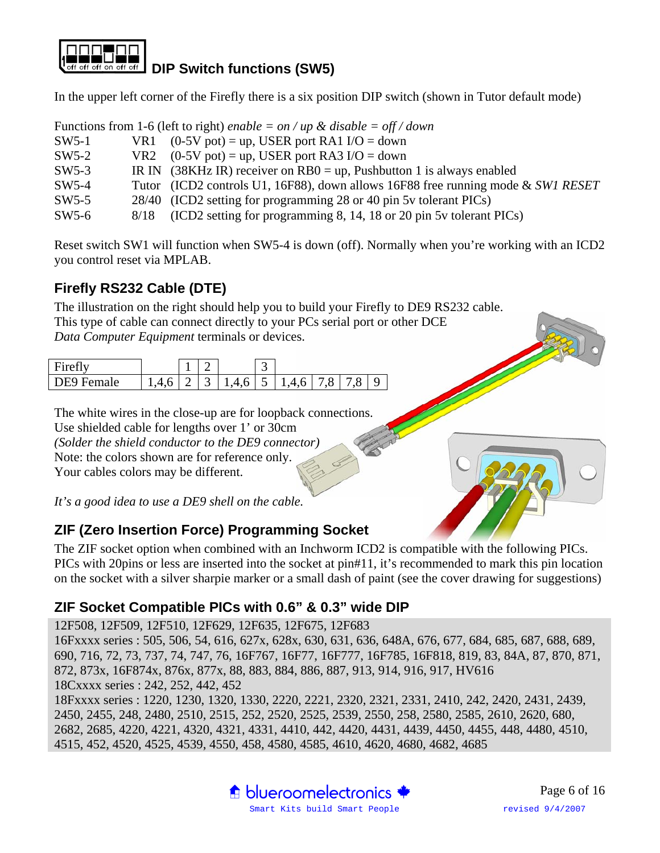

In the upper left corner of the Firefly there is a six position DIP switch (shown in Tutor default mode)

|         |      | Functions from 1-6 (left to right) enable = on / up & disable = off / down       |
|---------|------|----------------------------------------------------------------------------------|
| $SW5-1$ |      | VR1 $(0-5V \text{ pot}) = \text{up}$ , USER port RA1 I/O = down                  |
| $SW5-2$ |      | VR2 $(0-5V \text{ pot}) = \text{up}$ , USER port RA3 I/O = down                  |
| $SW5-3$ |      | IR IN (38KHz IR) receiver on $RB0 = up$ , Pushbutton 1 is always enabled         |
| $SW5-4$ |      | Tutor (ICD2 controls U1, 16F88), down allows 16F88 free running mode & SWI RESET |
| $SW5-5$ |      | 28/40 (ICD2 setting for programming 28 or 40 pin 5y tolerant PICs)               |
| $SW5-6$ | 8/18 | (ICD2 setting for programming 8, 14, 18 or 20 pin 5y tolerant PICs)              |

Reset switch SW1 will function when SW5-4 is down (off). Normally when you're working with an ICD2 you control reset via MPLAB.

## **Firefly RS232 Cable (DTE)**

The illustration on the right should help you to build your Firefly to DE9 RS232 cable.

This type of cable can connect directly to your PCs serial port or other DCE *Data Computer Equipment* terminals or devices.

| $\operatorname{Firaff}$ |   |   |               | $\overline{\phantom{0}}$ |     |              |        |  |
|-------------------------|---|---|---------------|--------------------------|-----|--------------|--------|--|
| <b>DEQ</b><br>Female    | Δ | ັ | 461511'<br>ູບ | $\overline{a}$<br>ັ      | 461 | <sup>8</sup> | $\sim$ |  |

The white wires in the close-up are for loopback connections. Use shielded cable for lengths over 1' or 30cm *(Solder the shield conductor to the DE9 connector)*  Note: the colors shown are for reference only. Your cables colors may be different.

*It's a good idea to use a DE9 shell on the cable.* 

## **ZIF (Zero Insertion Force) Programming Socket**

The ZIF socket option when combined with an Inchworm ICD2 is compatible with the following PICs. PICs with 20pins or less are inserted into the socket at pin#11, it's recommended to mark this pin location on the socket with a silver sharpie marker or a small dash of paint (see the cover drawing for suggestions)

#### **ZIF Socket Compatible PICs with 0.6" & 0.3" wide DIP**

12F508, 12F509, 12F510, 12F629, 12F635, 12F675, 12F683

16Fxxxx series : 505, 506, 54, 616, 627x, 628x, 630, 631, 636, 648A, 676, 677, 684, 685, 687, 688, 689, 690, 716, 72, 73, 737, 74, 747, 76, 16F767, 16F77, 16F777, 16F785, 16F818, 819, 83, 84A, 87, 870, 871, 872, 873x, 16F874x, 876x, 877x, 88, 883, 884, 886, 887, 913, 914, 916, 917, HV616 18Cxxxx series : 242, 252, 442, 452

18Fxxxx series : 1220, 1230, 1320, 1330, 2220, 2221, 2320, 2321, 2331, 2410, 242, 2420, 2431, 2439, 2450, 2455, 248, 2480, 2510, 2515, 252, 2520, 2525, 2539, 2550, 258, 2580, 2585, 2610, 2620, 680, 2682, 2685, 4220, 4221, 4320, 4321, 4331, 4410, 442, 4420, 4431, 4439, 4450, 4455, 448, 4480, 4510, 4515, 452, 4520, 4525, 4539, 4550, 458, 4580, 4585, 4610, 4620, 4680, 4682, 4685

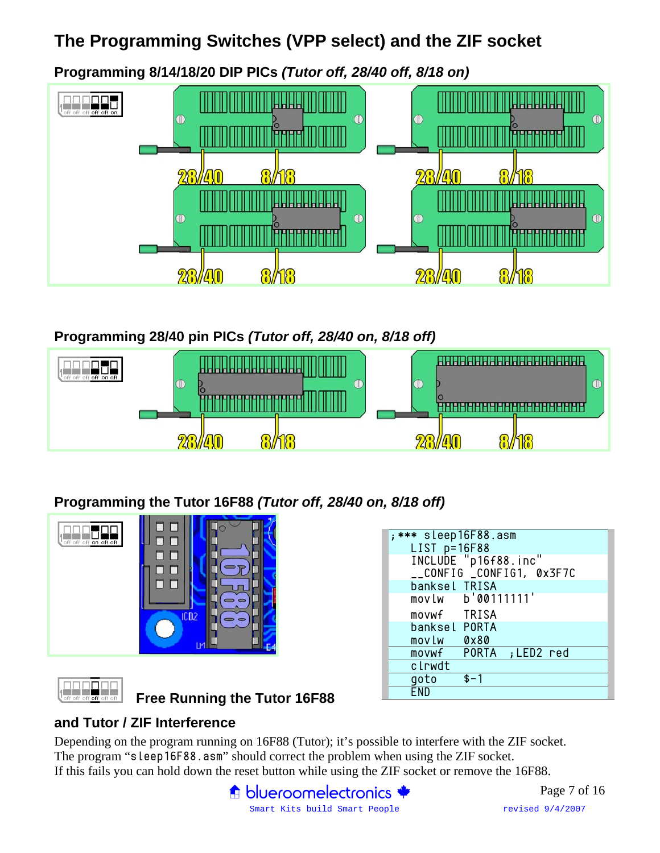# **The Programming Switches (VPP select) and the ZIF socket**

**Programming 8/14/18/20 DIP PICs** *(Tutor off, 28/40 off, 8/18 on)*



## **Programming 28/40 pin PICs** *(Tutor off, 28/40 on, 8/18 off)*



**Programming the Tutor 16F88** *(Tutor off, 28/40 on, 8/18 off)*



|  | off off off off |  |  |
|--|-----------------|--|--|

**Free Running the Tutor 16F88** 

| ; *** sleep16F88.asm                 |
|--------------------------------------|
|                                      |
| LIST p=16F88<br>INCLUDE "p16f88.inc" |
| __CONFIG _CONFIG1, 0x3F7C            |
| banksel TRISA                        |
| movlw b'00111111'                    |
| movwf TRISA                          |
| banksel PORTA                        |
| <b>0x80</b><br>mov Lw                |
| movwf PORTA ; LED2 red               |
| clrwdt                               |
| goto<br>$$ - 1$                      |
|                                      |

#### **and Tutor / ZIF Interference**

Depending on the program running on 16F88 (Tutor); it's possible to interfere with the ZIF socket. The program "sleep16F88.asm" should correct the problem when using the ZIF socket. If this fails you can hold down the reset button while using the ZIF socket or remove the 16F88.

> $\bigoplus$  blueroomelectronics  $\bigoplus$ Smart Kits build Smart People revised 9/4/2007

Page 7 of 16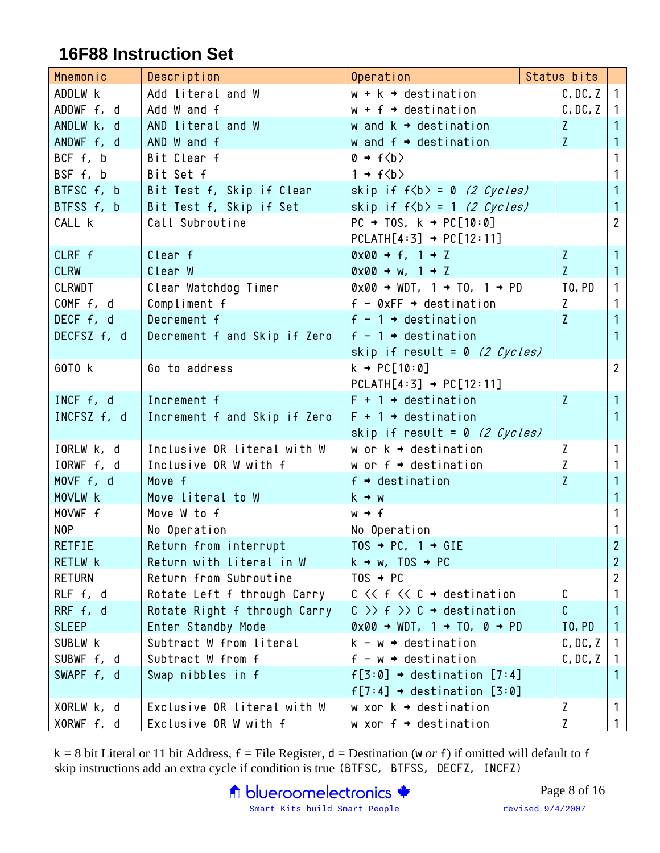## **16F88 Instruction Set**

| Mnemonic       | Description                  | Operation                                                              | Status bits  |                |
|----------------|------------------------------|------------------------------------------------------------------------|--------------|----------------|
| ADDLW K        | Add literal and W            | $w + k \rightarrow$ destination                                        | C, DC, Z     | 1 <sup>1</sup> |
| ADDWF f, d     | Add W and f                  | $w + f \rightarrow$ destination                                        | C, DC, Z     | 1              |
| ANDLW k, d     | AND Literal and W            | w and $k \rightarrow$ destination                                      | $\mathsf{Z}$ | $\mathbf{1}$   |
| ANDWF f, d     | AND W and f                  | w and $f \rightarrow$ destination                                      | Z.           | $\mathbf{1}$   |
| BCF f, b       | Bit Clear f                  | $0 \rightarrow f \langle b \rangle$                                    |              | $\mathbf{1}$   |
| BSF f, b       | Bit Set f                    | $1 \rightarrow f\langle b \rangle$                                     |              | $\mathbf{1}$   |
| BTFSC $f, b$   | Bit Test f, Skip if Clear    | skip if $f$ $\langle b \rangle$ = 0 (2 Cycles)                         |              | $\mathbf{1}$   |
| BTFSS f, b     | Bit Test f, Skip if Set      | skip if $f\langle b \rangle = 1$ (2 Cycles)                            |              | $\mathbf{1}$   |
| CALL k         | Call Subroutine              | $PC \rightarrow TOS$ , $k \rightarrow PC[10:0]$                        |              | $2^{\circ}$    |
|                |                              | $PCLATH[4:3] \rightarrow PC[12:11]$                                    |              |                |
| CLRF f         | Clear f                      | $0 \times 00 \rightarrow f$ , $1 \rightarrow Z$                        | Z.           | $\mathbf{1}$   |
| <b>CLRW</b>    | Clear W                      | $0 \times 00 \rightarrow w$ , $1 \rightarrow Z$                        | Z            | 1 <sup>1</sup> |
| CLRWDT         | Clear Watchdog Timer         | $0 \times 00 \rightarrow WDT$ , 1 $\rightarrow$ TO, 1 $\rightarrow$ PD | TO, PD       | 1 <sup>1</sup> |
| CONF f, d      | Compliment f                 | $f - \emptyset xFF \rightarrow destination$                            | Z            | $\mathbf{1}$   |
| DECF f, d      | Decrement f                  | $f - 1 \rightarrow$ destination                                        | Z            | $\mathbf{1}$   |
| DECFSZ f, d    | Decrement f and Skip if Zero | $f - 1 \rightarrow$ destination                                        |              | $\mathbf{1}$   |
|                |                              | skip if result = 0 (2 Cycles)                                          |              |                |
| GOTO K         | Go to address                | $k \rightarrow PC[10:0]$                                               |              | 2 <sup>7</sup> |
|                |                              | $PCLATH[4:3] \rightarrow PC[12:11]$                                    |              |                |
| INCF f, d      | Increment f                  | $F + 1 \rightarrow$ destination                                        | Z.           | $\mathbf{1}$   |
| INCFSZ f, d    | Increment f and Skip if Zero | $F + 1 \rightarrow$ destination                                        |              | 1              |
|                |                              | skip if result = 0 (2 Cycles)                                          |              |                |
| IORLW k, d     | Inclusive OR literal with W  | w or $k \rightarrow$ destination                                       | Z            | 1 <sup>1</sup> |
| IORWF f, d     | Inclusive OR W with f        | w or $f \rightarrow$ destination                                       | Z            | $\mathbf{1}$   |
| MOVF f, d      | Move f                       | $f \rightarrow$ destination                                            | Z            | $\mathbf{1}$   |
| MOVLW K        | Move literal to W            | $k \rightarrow w$                                                      |              | $\mathbf{1}$   |
| MOVWF f        | Move W to f                  | $W \rightarrow f$                                                      |              | 1 <sup>1</sup> |
| NOP            | No Operation                 | No Operation                                                           |              | $\mathbf{1}$   |
| <b>RETFIE</b>  | Return from interrupt        | TOS $\rightarrow$ PC, 1 $\rightarrow$ GIE                              |              | $\overline{2}$ |
| RETLW <b>k</b> | Return with literal in W     | $k \rightarrow w$ , TOS $\rightarrow PC$                               |              | $\overline{2}$ |
| <b>RETURN</b>  | Return from Subroutine       | $TOS \rightarrow PC$                                                   |              | $\overline{2}$ |
| RLF f, d       | Rotate Left f through Carry  | $C \lt C \lt f \lt C \rightarrow$ destination                          | C            | 1              |
| RRF f, d       | Rotate Right f through Carry | $C \gg f \gg C \rightarrow$ destination                                | C            | 1              |
| <b>SLEEP</b>   | Enter Standby Mode           | $0 \times 00 \rightarrow WDT$ , 1 $\rightarrow$ TO, 0 $\rightarrow$ PD | TO, PD       | $\mathbf{1}$   |
| SUBLW K        | Subtract W from Literal      | $k - w \rightarrow$ destination                                        | C, DC, Z     | $1 \mid$       |
| SUBWF f, d     | Subtract W from f            | $f - w \rightarrow$ destination                                        | C, DC, Z     | $\mathbf{1}$   |
| SWAPF f, d     | Swap nibbles in f            | $f[3:0] \rightarrow$ destination $[7:4]$                               |              | 1.             |
|                |                              | $f[7:4] \rightarrow$ destination $[3:0]$                               |              |                |
| XORLW k, d     | Exclusive OR Literal with W  | w xor $k \rightarrow$ destination                                      | Z            | 1              |
| XORWF f, d     | Exclusive OR W with f        | w xor $f \rightarrow$ destination                                      | Z            | 1 <sub>1</sub> |

 $k = 8$  bit Literal or 11 bit Address,  $f =$  File Register,  $d =$  Destination (w *or* f) if omitted will default to f skip instructions add an extra cycle if condition is true (BTFSC, BTFSS, DECFZ, INCFZ)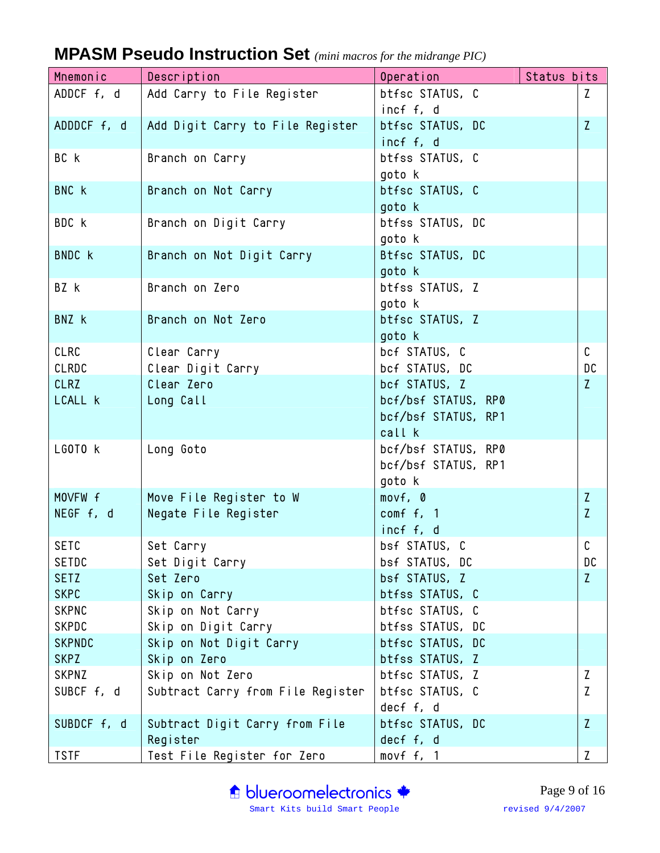| Mnemonic                    | Description                        | Operation                          | Status bits  |
|-----------------------------|------------------------------------|------------------------------------|--------------|
| ADDCF f, d                  | Add Carry to File Register         | btfsc STATUS, C                    | Z            |
|                             |                                    | incf f, d                          |              |
| ADDDCF f, d                 | Add Digit Carry to File Register   | btfsc STATUS, DC                   | $\mathsf{Z}$ |
|                             |                                    | incf f, d                          |              |
| BC k                        | Branch on Carry                    | btfss STATUS, C                    |              |
|                             |                                    | goto k                             |              |
| BNC k                       | Branch on Not Carry                | btfsc STATUS, C                    |              |
|                             |                                    | goto k                             |              |
| BDC k                       | Branch on Digit Carry              | btfss STATUS, DC                   |              |
|                             |                                    | goto k                             |              |
| <b>BNDC</b> k               | Branch on Not Digit Carry          | Btfsc STATUS, DC                   |              |
| BZ k                        | Branch on Zero                     | goto k<br>btfss STATUS, Z          |              |
|                             |                                    | goto k                             |              |
| BNZ k                       | Branch on Not Zero                 | btfsc STATUS, Z                    |              |
|                             |                                    | goto k                             |              |
| CLRC                        | Clear Carry                        | bcf STATUS, C                      | C            |
| <b>CLRDC</b>                | Clear Digit Carry                  | bcf STATUS, DC                     | DC           |
| <b>CLRZ</b>                 | Clear Zero                         | bcf STATUS, Z                      | Z            |
| LCALL <b>k</b>              | Long Call                          | bcf/bsf STATUS, RP0                |              |
|                             |                                    | bcf/bsf STATUS, RP1                |              |
|                             |                                    | call k                             |              |
| LGOTO K                     | Long Goto                          | bcf/bsf STATUS, RP0                |              |
|                             |                                    | bcf/bsf STATUS, RP1                |              |
|                             |                                    | goto k                             |              |
| MOVFW f                     | Move File Register to W            | movf, 0                            | Z            |
| NEGF f, d                   | Negate File Register               | comf f, 1                          | $\mathsf{Z}$ |
|                             |                                    | incf f, d                          |              |
| <b>SETC</b>                 | Set Carry                          | bsf STATUS, C                      | $\mathsf C$  |
| SETDC                       | Set Digit Carry                    | bsf STATUS, DC                     | DC           |
| <b>SETZ</b>                 | Set Zero                           | bsf STATUS, Z                      | $\mathsf{Z}$ |
| <b>SKPC</b><br><b>SKPNC</b> | Skip on Carry<br>Skip on Not Carry | btfss STATUS, C<br>btfsc STATUS, C |              |
| <b>SKPDC</b>                | Skip on Digit Carry                | btfss STATUS, DC                   |              |
| <b>SKPNDC</b>               | Skip on Not Digit Carry            | btfsc STATUS, DC                   |              |
| <b>SKPZ</b>                 | Skip on Zero                       | btfss STATUS, Z                    |              |
| SKPNZ                       | Skip on Not Zero                   | btfsc STATUS, Z                    | Z            |
| SUBCF f, d                  | Subtract Carry from File Register  | btfsc STATUS, C                    | Z            |
|                             |                                    | decf f, d                          |              |
| SUBDCF f, d                 | Subtract Digit Carry from File     | btfsc STATUS, DC                   | Z.           |
|                             | Register                           | decf f, d                          |              |
| <b>TSTF</b>                 | Test File Register for Zero        | movf f, 1                          | $\mathsf{Z}$ |

# **MPASM Pseudo Instruction Set** *(mini macros for the midrange PIC)*

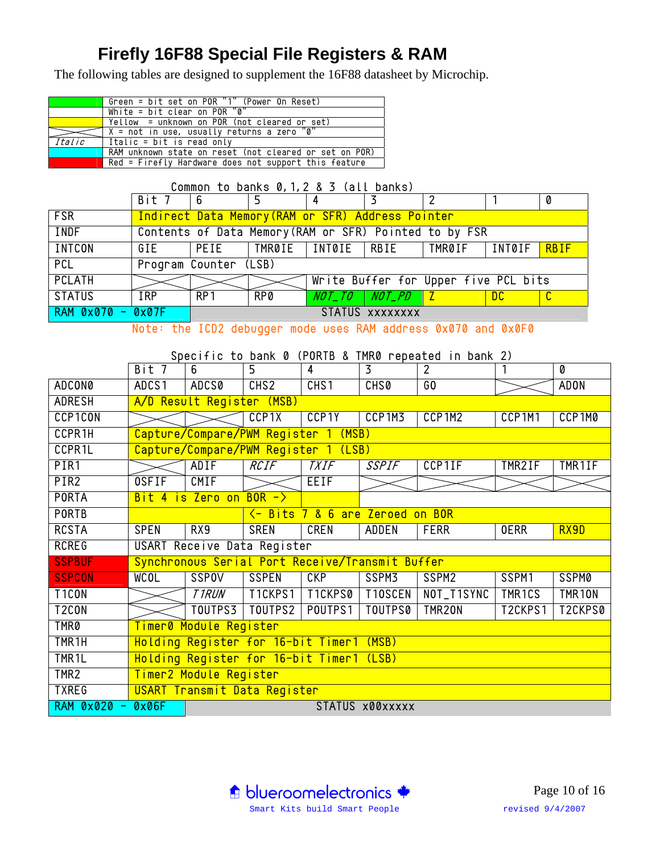# **Firefly 16F88 Special File Registers & RAM**

The following tables are designed to supplement the 16F88 datasheet by Microchip.

|        | Green = bit set on $POR "1"$ (Power On Reset)          |
|--------|--------------------------------------------------------|
|        | White = $\overline{bit}$ clear on POR $\overline{0}$   |
|        | $Yellow = unknown on POR (not cleared or set)$         |
|        | X = not in use, usually returns a zero "0"             |
| Italic | Italic = bit is read only                              |
|        | RAM unknown state on reset (not cleared or set on POR) |
|        | Red = Firefly Hardware does not support this feature   |

|                   | Common to banks 0, 1, 2 & 3 (all banks) |                       |            |                                                   |                 |                                                        |          |             |
|-------------------|-----------------------------------------|-----------------------|------------|---------------------------------------------------|-----------------|--------------------------------------------------------|----------|-------------|
|                   | Bit 7   6                               |                       |            |                                                   |                 |                                                        |          |             |
| <b>FSR</b>        |                                         |                       |            | Indirect Data Memory (RAM or SFR) Address Pointer |                 |                                                        |          |             |
| <b>INDF</b>       |                                         |                       |            |                                                   |                 | Contents of Data Memory (RAM or SFR) Pointed to by FSR |          |             |
| <b>INTCON</b>     |                                         |                       |            |                                                   |                 | GIE   PEIE   TMR0IE   INT0IE   RBIE   TMR0IF           | I INTØIF | <b>RBIF</b> |
| <b>PCL</b>        |                                         | Program Counter (LSB) |            |                                                   |                 |                                                        |          |             |
| <b>PCLATH</b>     |                                         |                       |            |                                                   |                 | Write Buffer for Upper five PCL bits                   |          |             |
| <b>STATUS</b>     | IRP                                     | RP1                   | <b>RP0</b> |                                                   | NOT_TO NOT_PD Z |                                                        | DC.      |             |
| RAM 0x070 - 0x07F |                                         |                       |            |                                                   | STATUS XXXXXXXX |                                                        |          |             |

Note: the ICD2 debugger mode uses RAM address 0x070 and 0x0F0

#### Specific to bank 0 (PORTB & TMR0 repeated in bank 2)

|                            | Bit 7                  | 6                                               | 5                                | $\overline{4}$                                | $\overline{3}$     | $\overline{2}$     | $\overline{1}$     | $\overline{\boldsymbol{\theta}}$ |
|----------------------------|------------------------|-------------------------------------------------|----------------------------------|-----------------------------------------------|--------------------|--------------------|--------------------|----------------------------------|
| <b>ADCON0</b>              | ADCS1                  | ADCS0                                           | CHS <sub>2</sub>                 | CHS <sub>1</sub>                              | CHS0               | 60                 |                    | <b>ADON</b>                      |
| <b>ADRESH</b>              |                        | A/D Result Register (MSB)                       |                                  |                                               |                    |                    |                    |                                  |
| <b>CCP1CON</b>             |                        |                                                 | CCP <sub>1X</sub>                | CCP <sub>1</sub> Y                            | CCP <sub>1M3</sub> | CCP <sub>1M2</sub> | CCP <sub>1M1</sub> | CCP <sub>1M0</sub>               |
| CCPR1H                     |                        | Capture/Compare/PWM Register 1 (MSB)            |                                  |                                               |                    |                    |                    |                                  |
| CCPR1L                     |                        | Capture/Compare/PWM Register 1 (LSB)            |                                  |                                               |                    |                    |                    |                                  |
| PIR1                       |                        | ADIF                                            | RCIF                             | <b>TXIF</b>                                   | <b>SSPIF</b>       | CCP1IF             | TMR2IF             | TMR1IF                           |
| PIR <sub>2</sub>           | <b>OSFIF</b>           | CMIF                                            |                                  | EEIF                                          |                    |                    |                    |                                  |
| <b>PORTA</b>               |                        | Bit 4 is Zero on BOR $-$                        |                                  |                                               |                    |                    |                    |                                  |
| <b>PORTB</b>               |                        |                                                 |                                  | <u>&lt;- Bits 7 &amp; 6 are Zeroed on BOR</u> |                    |                    |                    |                                  |
| <b>RCSTA</b>               | <b>SPEN</b>            | RX9                                             | <b>SREN</b>                      | CREN                                          | ADDEN              | <b>FERR</b>        | <b>OERR</b>        | RX9D                             |
| <b>RCREG</b>               |                        | USART Receive Data Register                     |                                  |                                               |                    |                    |                    |                                  |
| <b>SSPBUF</b>              |                        | Synchronous Serial Port Receive/Transmit Buffer |                                  |                                               |                    |                    |                    |                                  |
| <b>SSPCON</b>              | <b>WCOL</b>            | <b>SSPOV</b>                                    | <b>SSPEN</b>                     | CKP                                           | SSPM3              | SSPM2              | SSPM1              | <b>SSPM0</b>                     |
| T <sub>1</sub> CON         |                        | <b>TIRUN</b>                                    | T <sub>1</sub> CKPS <sub>1</sub> | T <sub>1</sub> CKPS0                          | T10SCEN            | NOT_T1SYNC         | TMR1CS             | TMR <sub>10N</sub>               |
| T <sub>2</sub> CON         |                        | TOUTPS3                                         | TOUTPS2                          | POUTPS1                                       | <b>TOUTPS0</b>     | TMR20N             | T2CKPS1            | T2CKPS0                          |
| TMR <sub>0</sub>           | Timer0 Module Register |                                                 |                                  |                                               |                    |                    |                    |                                  |
| TMR <sub>1</sub> H         |                        | Holding Register for 16-bit Timer1 (MSB)        |                                  |                                               |                    |                    |                    |                                  |
| TMR <sub>1</sub> L         |                        | Holding Register for 16-bit Timer1 (LSB)        |                                  |                                               |                    |                    |                    |                                  |
| TMR <sub>2</sub>           |                        | Timer2 Module Register                          |                                  |                                               |                    |                    |                    |                                  |
| <b>TXREG</b>               |                        | USART Transmit Data Register                    |                                  |                                               |                    |                    |                    |                                  |
| <b>RAM 0x020</b><br>$\sim$ | 0x06F                  |                                                 |                                  |                                               | STATUS x00xxxxx    |                    |                    |                                  |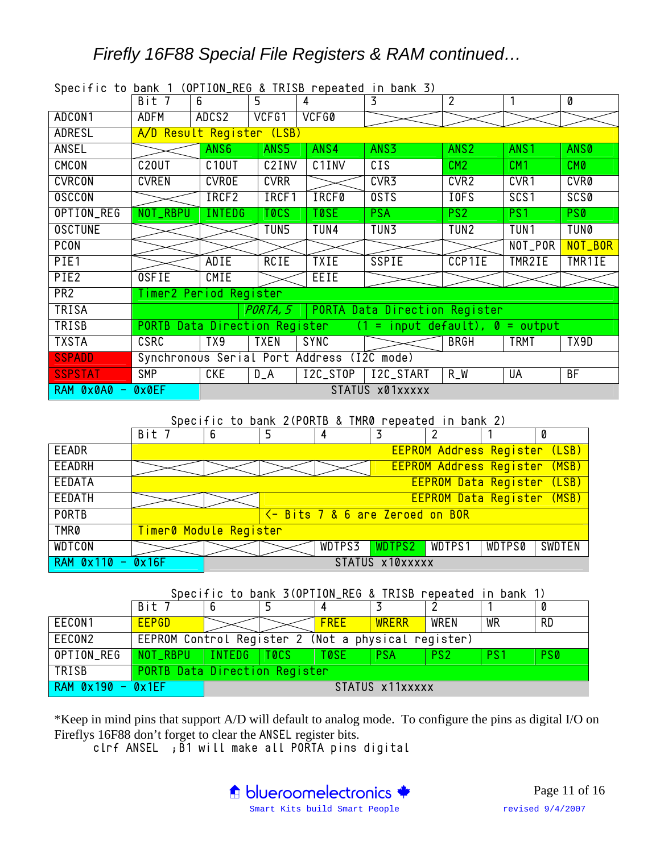## *Firefly 16F88 Special File Registers & RAM continued…*

| opcorrio to bank i (orribon_keo & ikiso ropcatca ni bank J) |                               |                    |             |                                            |                                       |                  |                  |             |  |
|-------------------------------------------------------------|-------------------------------|--------------------|-------------|--------------------------------------------|---------------------------------------|------------------|------------------|-------------|--|
|                                                             | Bit 7                         | 6                  | 5           | 4                                          | 3                                     | $\overline{2}$   |                  | 0           |  |
| ADCON1                                                      | ADFM                          | ADCS2              | VCFG1       | VCFG0                                      |                                       |                  |                  |             |  |
| ADRESL                                                      | A/D Result Register (LSB)     |                    |             |                                            |                                       |                  |                  |             |  |
| <b>ANSEL</b>                                                |                               | ANS <sub>6</sub>   | ANS5        | ANS4                                       | ANS3                                  | ANS <sub>2</sub> | ANS <sub>1</sub> | <b>ANS0</b> |  |
| CMCON                                                       | C <sub>20</sub> UT            | C <sub>10</sub> UT | C2INV       | C <sub>1</sub> INV                         | CIS                                   | CM2              | CM1              | CMO         |  |
| <b>CVRCON</b>                                               | <b>CVREN</b>                  | <b>CVROE</b>       | <b>CVRR</b> |                                            | CVR3                                  | CVR <sub>2</sub> | CVR1             | <b>CVR0</b> |  |
| <b>OSCCON</b>                                               |                               | IRCF2              | IRCF1       | <b>IRCF0</b>                               | <b>OSTS</b>                           | IOFS             | SCS <sub>1</sub> | <b>SCS0</b> |  |
| OPTION_REG                                                  | NOT_RBPU                      | <b>INTEDG</b>      | <b>TOCS</b> | <b>TOSE</b>                                | <b>PSA</b>                            | PS2              | PS1              | PSO         |  |
| <b>OSCTUNE</b>                                              |                               |                    | TUN5        | TUN4                                       | TUN3                                  | TUN2             | TUN1             | <b>TUN0</b> |  |
| <b>PCON</b>                                                 |                               |                    |             |                                            |                                       |                  | NOT_POR          | NOT_BOR     |  |
| PIE1                                                        |                               | ADIE               | <b>RCIE</b> | <b>TXIE</b>                                | <b>SSPIE</b>                          | CCP1IE           | TMR2IE           | TMR1IE      |  |
| PIE2                                                        | <b>OSFIE</b>                  | <b>CMIE</b>        |             | EEIE.                                      |                                       |                  |                  |             |  |
| PR <sub>2</sub>                                             | Timer2 Period Register        |                    |             |                                            |                                       |                  |                  |             |  |
| <b>TRISA</b>                                                |                               |                    | PORTA, 5    |                                            | PORTA Data Direction Register         |                  |                  |             |  |
| TRISB                                                       | PORTB Data Direction Register |                    |             |                                            | $=$ input default), $\theta =$ output |                  |                  |             |  |
| <b>TXSTA</b>                                                | <b>CSRC</b>                   | TX9                | TXEN        | <b>SYNC</b>                                |                                       | <b>BRGH</b>      | <b>TRMT</b>      | TX9D        |  |
| <b>SSPADD</b>                                               |                               |                    |             | Synchronous Serial Port Address (I2C mode) |                                       |                  |                  |             |  |
| <b>SSPSTAT</b>                                              | <b>SMP</b>                    | <b>CKE</b>         | $D_A$       | I2C_STOP                                   | I2C_START                             | $R_W$            | UA               | BF          |  |
| $RAM$ $0 \times 0 A0 -$                                     | <b>OXOEF</b>                  |                    |             |                                            | STATUS x01xxxxx                       |                  |                  |             |  |

Specific to bank 1 (OPTION REG & TRISB repeated in bank 3)

Specific to bank 2(PORTB & TMR0 repeated in bank 2)

|                       | Bit 7                  | 6 | 5 | 4                                              |                 |                                      |               | 0      |
|-----------------------|------------------------|---|---|------------------------------------------------|-----------------|--------------------------------------|---------------|--------|
| EEADR                 |                        |   |   |                                                |                 | EEPROM Address Register (LSB)        |               |        |
| EEADRH                |                        |   |   |                                                |                 | <b>EEPROM Address Register (MSB)</b> |               |        |
| EEDATA                |                        |   |   |                                                |                 | EEPROM Data Register (LSB)           |               |        |
| <b>EEDATH</b>         |                        |   |   |                                                |                 | EEPROM Data Register (MSB)           |               |        |
| <b>PORTB</b>          |                        |   |   | <u> &lt;- Bits 7 &amp; 6 are Zeroed on BOR</u> |                 |                                      |               |        |
| <b>TMR0</b>           | Timer0 Module Register |   |   |                                                |                 |                                      |               |        |
| <b>WDTCON</b>         |                        |   |   |                                                | WDTPS3 WDTPS2   | WDTPS1                               | <b>WDTPS0</b> | SWDTEN |
| $RAM$ $0x110 - 0x16F$ |                        |   |   |                                                | STATUS x10xxxxx |                                      |               |        |

Specific to bank 3(OPTION REG & TRISB repeated in bank 1)

|                   | Bit 7                                               | 6             |                 |             |              |                 |                 | 0          |
|-------------------|-----------------------------------------------------|---------------|-----------------|-------------|--------------|-----------------|-----------------|------------|
| EECON1            | <b>EEPGD</b>                                        |               |                 | <b>FREE</b> | <b>WRERR</b> | WREN            | WR              | <b>RD</b>  |
| EECON2            | EEPROM Control Register 2 (Not a physical register) |               |                 |             |              |                 |                 |            |
| OPTION_REG        | NOT_RBPU                                            | INTEDG   TOCS |                 | <b>TOSE</b> | <b>PSA</b>   | PS <sub>2</sub> | PS <sub>1</sub> | <b>PS0</b> |
| TRISB             | PORTB Data Direction Register                       |               |                 |             |              |                 |                 |            |
| RAM 0x190 - 0x1EF |                                                     |               | STATUS x11xxxxx |             |              |                 |                 |            |

\*Keep in mind pins that support A/D will default to analog mode. To configure the pins as digital I/O on Fireflys 16F88 don't forget to clear the ANSEL register bits.

clrf ANSEL ;B1 will make all PORTA pins digital

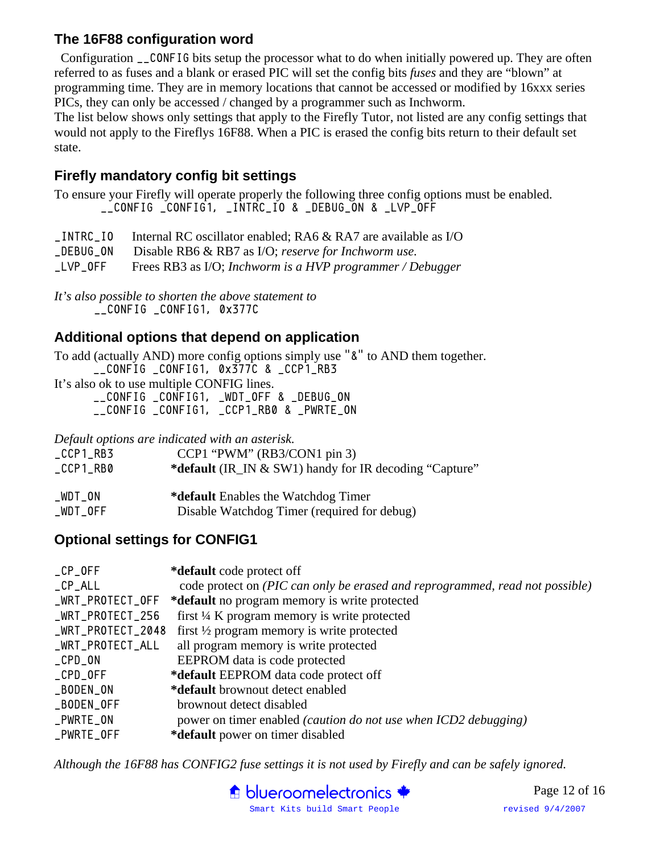#### **The 16F88 configuration word**

 Configuration \_\_CONFIG bits setup the processor what to do when initially powered up. They are often referred to as fuses and a blank or erased PIC will set the config bits *fuses* and they are "blown" at programming time. They are in memory locations that cannot be accessed or modified by 16xxx series PICs, they can only be accessed / changed by a programmer such as Inchworm.

The list below shows only settings that apply to the Firefly Tutor, not listed are any config settings that would not apply to the Fireflys 16F88. When a PIC is erased the config bits return to their default set state.

#### **Firefly mandatory config bit settings**

To ensure your Firefly will operate properly the following three config options must be enabled. \_\_CONFIG \_CONFIG1, \_INTRC\_IO & \_DEBUG\_ON & \_LVP\_OFF

\_INTRC\_IO Internal RC oscillator enabled; RA6 & RA7 are available as I/O \_DEBUG\_ON Disable RB6 & RB7 as I/O; *reserve for Inchworm use.* \_LVP\_OFF Frees RB3 as I/O; *Inchworm is a HVP programmer / Debugger*

*It's also possible to shorten the above statement to* \_\_CONFIG \_CONFIG1, 0x377C

#### **Additional options that depend on application**

To add (actually AND) more config options simply use "&" to AND them together. \_\_CONFIG \_CONFIG1, 0x377C & \_CCP1\_RB3

It's also ok to use multiple CONFIG lines. \_\_CONFIG \_CONFIG1, \_WDT\_OFF & \_DEBUG\_ON \_\_CONFIG \_CONFIG1, \_CCP1\_RB0 & \_PWRTE\_ON

*Default options are indicated with an asterisk.* 

| $\_CCP1\_RB3$ | $CCP1$ "PWM" (RB3/CON1 pin 3)                          |
|---------------|--------------------------------------------------------|
| $\_CCP1\_RBO$ | *default (IR_IN & SW1) handy for IR decoding "Capture" |
| _WDT_ON       | * <b>default</b> Enables the Watchdog Timer            |
| $\_WDT\_OFF$  | Disable Watchdog Timer (required for debug)            |

#### **Optional settings for CONFIG1**

| $\_CP\_OFF$       | *default code protect off                                                    |
|-------------------|------------------------------------------------------------------------------|
| $C$ P $AL$ L $L$  | code protect on (PIC can only be erased and reprogrammed, read not possible) |
| _WRT_PROTECT_OFF  | *default no program memory is write protected                                |
| _WRT_PROTECT_256  | first 1/4 K program memory is write protected                                |
| _WRT_PROTECT_2048 | first $\frac{1}{2}$ program memory is write protected                        |
| _WRT_PROTECT_ALL  | all program memory is write protected                                        |
| $\_CPD$ $_ON$     | EEPROM data is code protected                                                |
| $\_CPD$ $OFF$     | *default EEPROM data code protect off                                        |
| _BODEN_ON         | *default brownout detect enabled                                             |
| _BODEN_OFF        | brownout detect disabled                                                     |
| _PWRTE_ON         | power on timer enabled (caution do not use when ICD2 debugging)              |
| _PWRTE_OFF        | *default power on timer disabled                                             |

*Although the 16F88 has CONFIG2 fuse settings it is not used by Firefly and can be safely ignored.* 



Page 12 of 16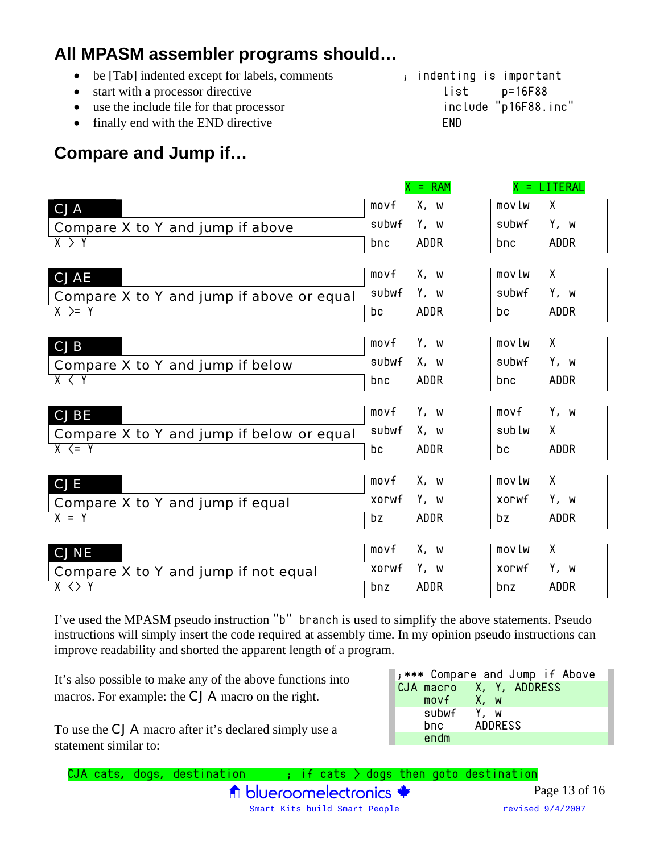# **All MPASM assembler programs should…**

• be [Tab] indented except for labels, comments ; indenting is important • start with a processor directive list p=16F88 • use the include file for that processor include "p16F88.inc" • finally end with the END directive END

# **Compare and Jump if…**

|                                           |       | $=$ RAM     | x<br>Ξ. | LITERAL     |
|-------------------------------------------|-------|-------------|---------|-------------|
| <b>CJA</b>                                | movf  | X, w        | movlw   | X           |
| Compare X to Y and jump if above          | subwf | Y, w        | subwf   | Y, w        |
| X > Y                                     | bnc   | <b>ADDR</b> | bnc     | <b>ADDR</b> |
| <b>CJAE</b>                               | movf  | X, w        | movlw   | X           |
| Compare X to Y and jump if above or equal | subwf | Y, w        | subwf   | Y, w        |
| $X \geq Y$                                | bс    | <b>ADDR</b> | bс      | <b>ADDR</b> |
| <b>CJB</b>                                | movf  | Y, w        | movlw   | X           |
| Compare X to Y and jump if below          | subwf | X, w        | subwf   | Y, w        |
| X < Y                                     | bnc   | <b>ADDR</b> | bnc     | <b>ADDR</b> |
| <b>CJBE</b>                               | movf  | Y, w        | movf    | Y, w        |
| Compare X to Y and jump if below or equal | subwf | X, w        | sublw   | X           |
| $X \leq Y$                                | bс    | ADDR        | bс      | <b>ADDR</b> |
| <b>CJE</b>                                | movf  | X, w        | movlw   | X           |
| Compare X to Y and jump if equal          | XOLMf | Y, w        | XOLMf   | Y, w        |
| $X = Y$                                   | bz    | ADDR        | bz      | <b>ADDR</b> |
| <b>CJNE</b>                               | movf  | X, w        | movlw   | X           |
| Compare X to Y and jump if not equal      | XOLME | Y, w        | XOLMf   | Y, w        |
| $X \leq Y$                                | bnz   | <b>ADDR</b> | bnz     | ADDR        |

I've used the MPASM pseudo instruction "b" branch is used to simplify the above statements. Pseudo instructions will simply insert the code required at assembly time. In my opinion pseudo instructions can improve readability and shorted the apparent length of a program.

It's also possible to make any of the above functions into macros. For example: the CJA macro on the right.

|            | ;*** Compare and Jump if Above |
|------------|--------------------------------|
|            | CJA macro X, Y, ADDRESS        |
| movf X, w  |                                |
| subwf Y, w |                                |
| bnc        | ADDRESS                        |
| endm       |                                |

To use the CJA macro after it's declared simply use a statement similar to: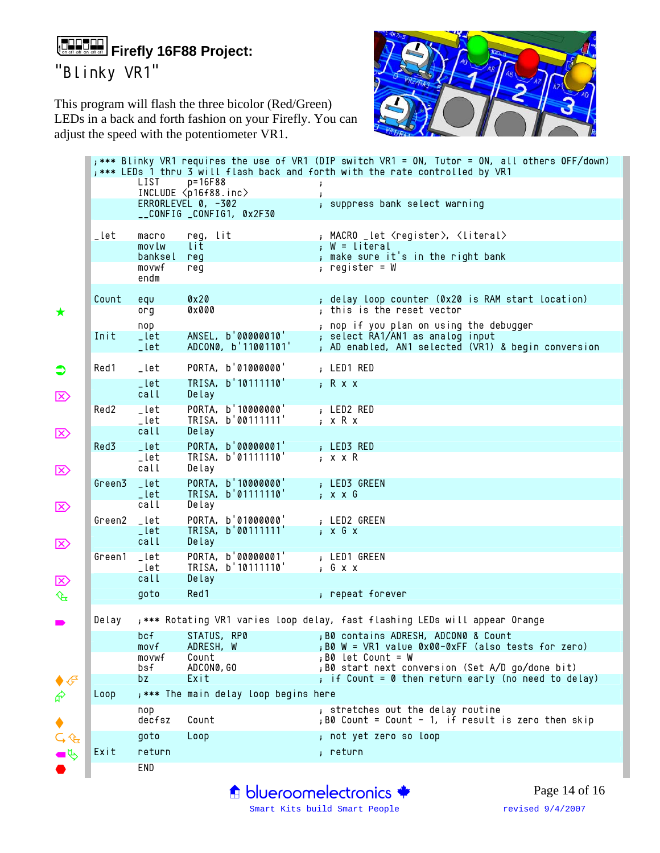# (+==+==)**Firefly 16F88 Project:**

"Blinky VR1"

This program will flash the three bicolor (Red/Green) LEDs in a back and forth fashion on your Firefly. You can adjust the speed with the potentiometer VR1.



|        | LIST                                  | $p = 16F88$<br>INCLUDE <p16f88.inc></p16f88.inc>                           | *** Blinky VR1 requires the use of VR1 (DIP switch VR1 = ON, Tutor = ON, all others OFF/down);<br>; *** LEDs 1 thru 3 will flash back and forth with the rate controlled by VR1<br>j.<br>$\mathbf{r}$ |  |
|--------|---------------------------------------|----------------------------------------------------------------------------|-------------------------------------------------------------------------------------------------------------------------------------------------------------------------------------------------------|--|
|        |                                       | ERRORLEVEL 0, -302<br>__CONFIG _CONFIG1, 0x2F30                            | ; suppress bank select warning                                                                                                                                                                        |  |
| _let   | macro<br>movlw<br>banksel<br>movwf    | reg, lit<br>lit.<br>req<br>req                                             | , MACRO _let <register>, <literal><br/>; W = literal<br/>; make sure it's in the right bank<br/>; register = <math>W</math></literal></register>                                                      |  |
|        | endm                                  |                                                                            |                                                                                                                                                                                                       |  |
| Count  | equ<br>0 <sub>0</sub>                 | 0x20<br>0x000                                                              | ; delay loop counter (0x20 is RAM start location)<br>; this is the reset vector                                                                                                                       |  |
| Init   | nop<br>_let<br>_let                   | ANSEL, b'00000010'<br>ADCON0, b'11001101'                                  | ; nop if you plan on using the debugger<br>; select RA1/AN1 as analog input<br>; AD enabled, AN1 selected (VR1) & begin conversion                                                                    |  |
| Red1   | _let                                  | PORTA, b'01000000'                                                         | ; LED1 RED                                                                                                                                                                                            |  |
|        | _let<br>call                          | TRISA, b'10111110'<br>Delay                                                | ; R x x                                                                                                                                                                                               |  |
| Red2   | _let<br>_let<br>call                  | PORTA, b'10000000'<br>TRISA, b'00111111'<br>Delay                          | ; LED2 RED<br>; x R x                                                                                                                                                                                 |  |
| Red3   | _let<br>Lie<br>call                   | PORTA, b'00000001'<br>TRISA, b'01111110'<br>Delay                          | ; LED3 RED<br>; x x R                                                                                                                                                                                 |  |
| Green3 | _let<br>_let                          | PORTA, b'10000000'<br>TRISA, b'01111110'                                   | ; LED3 GREEN<br>; x x G                                                                                                                                                                               |  |
| Green2 | call<br>_let                          | Delay<br>PORTA, b'01000000'                                                | ; LED2 GREEN                                                                                                                                                                                          |  |
|        | _let<br>call                          | TRISA, b'00111111'<br>Delay                                                | $\,$ ; $\,$ x $\,$ G $\,$ x                                                                                                                                                                           |  |
| Green1 | _let<br>_let                          | PORTA, b'00000001'<br>TRISA, b'10111110'                                   | ; LED1 GREEN<br>; G x x                                                                                                                                                                               |  |
|        | call<br>goto                          | Delay<br>Red1                                                              | ; repeat forever                                                                                                                                                                                      |  |
| Delay  |                                       | ;*** Rotating VR1 varies loop delay, fast flashing LEDs will appear Orange |                                                                                                                                                                                                       |  |
|        | movf<br>movwf                         | ADRESH, W<br>Count                                                         | bcf STATUS, RP0 ;B0 contains ADRESH, ADCON0 & Count<br>; B0 W = VR1 value 0x00-0xFF (also tests for zero)<br>,B0 let Count = W                                                                        |  |
|        | bsf<br>bz                             | ADCON0, GO<br>Exit                                                         | ; B0 start next conversion (Set A/D go/done bit)<br>; if Count = 0 then return early (no need to delay)                                                                                               |  |
| Loop   | ; *** The main delay loop begins here |                                                                            |                                                                                                                                                                                                       |  |
|        | nop<br>decfsz                         | Count                                                                      | ; stretches out the delay routine<br>$,B0$ Count = Count - 1, if result is zero then skip                                                                                                             |  |
|        | goto                                  | Loop                                                                       | ; not yet zero so loop                                                                                                                                                                                |  |
| Exit   | return                                |                                                                            | ; return                                                                                                                                                                                              |  |
|        | END                                   |                                                                            |                                                                                                                                                                                                       |  |

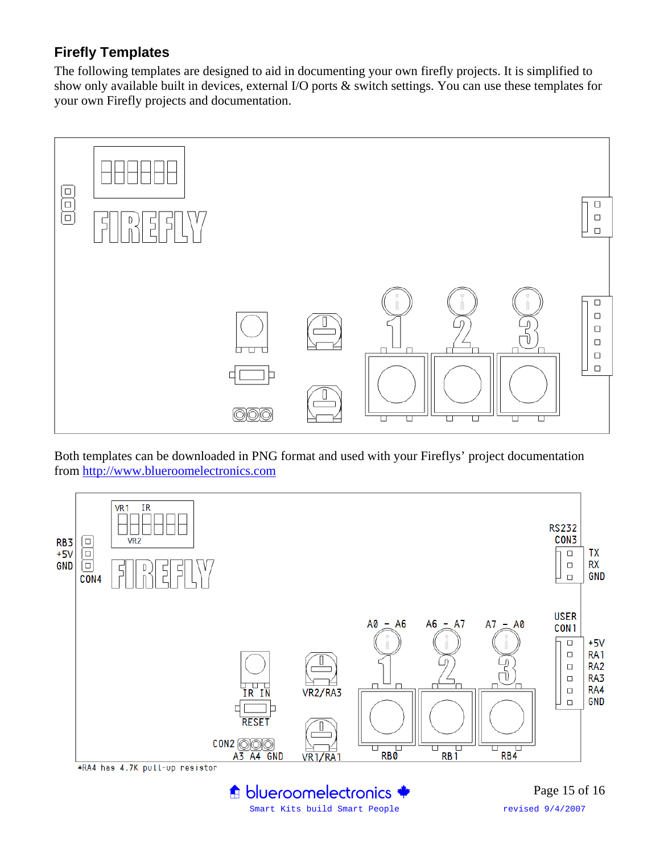#### **Firefly Templates**

The following templates are designed to aid in documenting your own firefly projects. It is simplified to show only available built in devices, external I/O ports & switch settings. You can use these templates for your own Firefly projects and documentation.



Both templates can be downloaded in PNG format and used with your Fireflys' project documentation from http://www.blueroomelectronics.com



Smart Kits build Smart People revised 9/4/2007